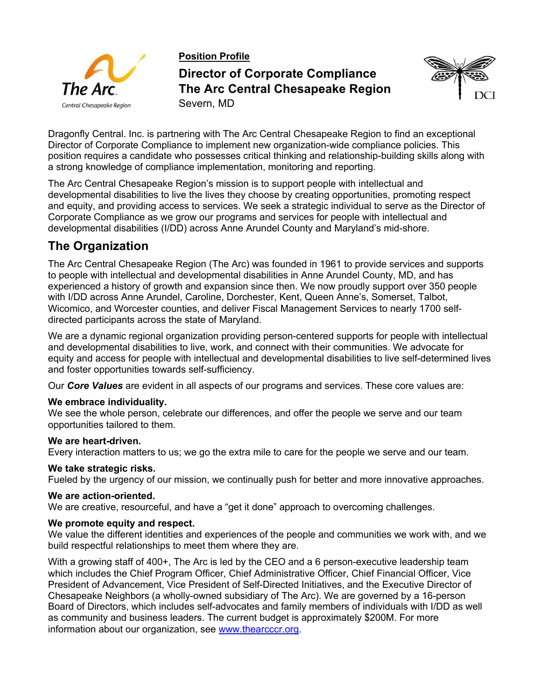

**Position Profile Director of Corporate Compliance The Arc Central Chesapeake Region** Severn, MD



Dragonfly Central. Inc. is partnering with The Arc Central Chesapeake Region to find an exceptional Director of Corporate Compliance to implement new organization-wide compliance policies. This position requires a candidate who possesses critical thinking and relationship-building skills along with a strong knowledge of compliance implementation, monitoring and reporting.

The Arc Central Chesapeake Region's mission is to support people with intellectual and developmental disabilities to live the lives they choose by creating opportunities, promoting respect and equity, and providing access to services. We seek a strategic individual to serve as the Director of Corporate Compliance as we grow our programs and services for people with intellectual and developmental disabilities (I/DD) across Anne Arundel County and Maryland's mid-shore.

# **The Organization**

The Arc Central Chesapeake Region (The Arc) was founded in 1961 to provide services and supports to people with intellectual and developmental disabilities in Anne Arundel County, MD, and has experienced a history of growth and expansion since then. We now proudly support over 350 people with I/DD across Anne Arundel, Caroline, Dorchester, Kent, Queen Anne's, Somerset, Talbot, Wicomico, and Worcester counties, and deliver Fiscal Management Services to nearly 1700 selfdirected participants across the state of Maryland.

We are a dynamic regional organization providing person-centered supports for people with intellectual and developmental disabilities to live, work, and connect with their communities. We advocate for equity and access for people with intellectual and developmental disabilities to live self-determined lives and foster opportunities towards self-sufficiency.

Our *Core Values* are evident in all aspects of our programs and services. These core values are:

### **We embrace individuality.**

We see the whole person, celebrate our differences, and offer the people we serve and our team opportunities tailored to them.

### **We are heart-driven.**

Every interaction matters to us; we go the extra mile to care for the people we serve and our team.

### **We take strategic risks.**

Fueled by the urgency of our mission, we continually push for better and more innovative approaches.

#### **We are action-oriented.**

We are creative, resourceful, and have a "get it done" approach to overcoming challenges.

#### **We promote equity and respect.**

We value the different identities and experiences of the people and communities we work with, and we build respectful relationships to meet them where they are.

With a growing staff of 400+, The Arc is led by the CEO and a 6 person-executive leadership team which includes the Chief Program Officer, Chief Administrative Officer, Chief Financial Officer, Vice President of Advancement, Vice President of Self-Directed Initiatives, and the Executive Director of Chesapeake Neighbors (a wholly-owned subsidiary of The Arc). We are governed by a 16-person Board of Directors, which includes self-advocates and family members of individuals with I/DD as well as community and business leaders. The current budget is approximately \$200M. For more information about our organization, see www.thearcccr.org.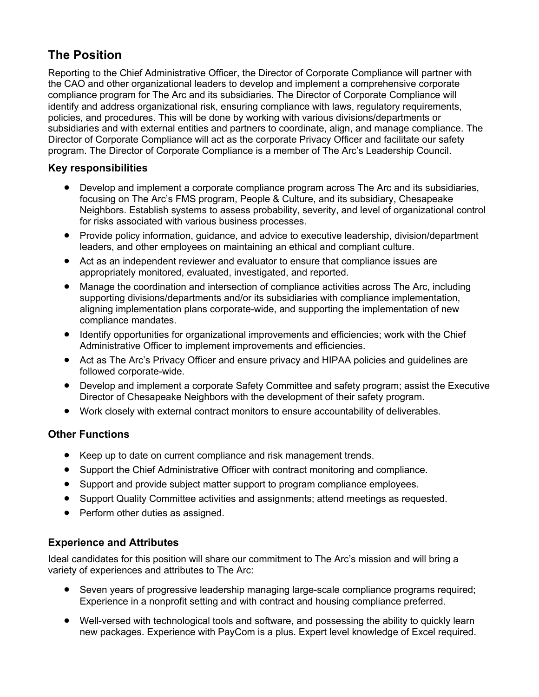# **The Position**

Reporting to the Chief Administrative Officer, the Director of Corporate Compliance will partner with the CAO and other organizational leaders to develop and implement a comprehensive corporate compliance program for The Arc and its subsidiaries. The Director of Corporate Compliance will identify and address organizational risk, ensuring compliance with laws, regulatory requirements, policies, and procedures. This will be done by working with various divisions/departments or subsidiaries and with external entities and partners to coordinate, align, and manage compliance. The Director of Corporate Compliance will act as the corporate Privacy Officer and facilitate our safety program. The Director of Corporate Compliance is a member of The Arc's Leadership Council.

## **Key responsibilities**

- Develop and implement a corporate compliance program across The Arc and its subsidiaries, focusing on The Arc's FMS program, People & Culture, and its subsidiary, Chesapeake Neighbors. Establish systems to assess probability, severity, and level of organizational control for risks associated with various business processes.
- Provide policy information, guidance, and advice to executive leadership, division/department leaders, and other employees on maintaining an ethical and compliant culture.
- Act as an independent reviewer and evaluator to ensure that compliance issues are appropriately monitored, evaluated, investigated, and reported.
- Manage the coordination and intersection of compliance activities across The Arc, including supporting divisions/departments and/or its subsidiaries with compliance implementation, aligning implementation plans corporate-wide, and supporting the implementation of new compliance mandates.
- Identify opportunities for organizational improvements and efficiencies; work with the Chief Administrative Officer to implement improvements and efficiencies.
- Act as The Arc's Privacy Officer and ensure privacy and HIPAA policies and guidelines are followed corporate-wide.
- Develop and implement a corporate Safety Committee and safety program; assist the Executive Director of Chesapeake Neighbors with the development of their safety program.
- Work closely with external contract monitors to ensure accountability of deliverables.

## **Other Functions**

- Keep up to date on current compliance and risk management trends.
- Support the Chief Administrative Officer with contract monitoring and compliance.
- Support and provide subject matter support to program compliance employees.
- Support Quality Committee activities and assignments; attend meetings as requested.
- Perform other duties as assigned.

## **Experience and Attributes**

Ideal candidates for this position will share our commitment to The Arc's mission and will bring a variety of experiences and attributes to The Arc:

- Seven years of progressive leadership managing large-scale compliance programs required; Experience in a nonprofit setting and with contract and housing compliance preferred.
- Well-versed with technological tools and software, and possessing the ability to quickly learn new packages. Experience with PayCom is a plus. Expert level knowledge of Excel required.